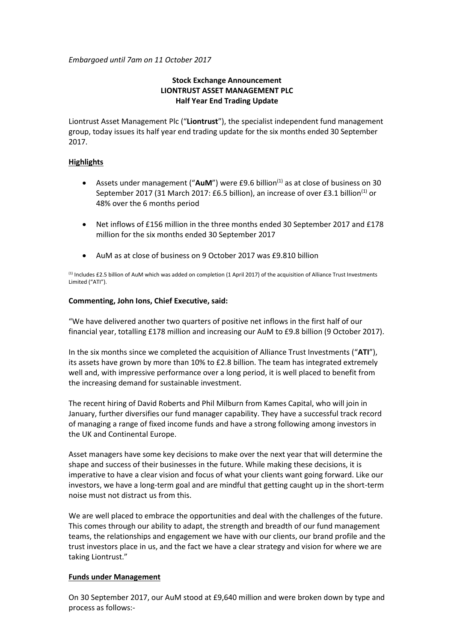*Embargoed until 7am on 11 October 2017*

# **Stock Exchange Announcement LIONTRUST ASSET MANAGEMENT PLC Half Year End Trading Update**

Liontrust Asset Management Plc ("**Liontrust**"), the specialist independent fund management group, today issues its half year end trading update for the six months ended 30 September 2017.

## **Highlights**

- Assets under management ("AuM") were £9.6 billion<sup>(1)</sup> as at close of business on 30 September 2017 (31 March 2017: £6.5 billion), an increase of over £3.1 billion<sup>(1)</sup> or 48% over the 6 months period
- Net inflows of £156 million in the three months ended 30 September 2017 and £178 million for the six months ended 30 September 2017
- AuM as at close of business on 9 October 2017 was £9.810 billion

(1) Includes £2.5 billion of AuM which was added on completion (1 April 2017) of the acquisition of Alliance Trust Investments Limited ("ATI").

## **Commenting, John Ions, Chief Executive, said:**

"We have delivered another two quarters of positive net inflows in the first half of our financial year, totalling £178 million and increasing our AuM to £9.8 billion (9 October 2017).

In the six months since we completed the acquisition of Alliance Trust Investments ("**ATI**"), its assets have grown by more than 10% to £2.8 billion. The team has integrated extremely well and, with impressive performance over a long period, it is well placed to benefit from the increasing demand for sustainable investment.

The recent hiring of David Roberts and Phil Milburn from Kames Capital, who will join in January, further diversifies our fund manager capability. They have a successful track record of managing a range of fixed income funds and have a strong following among investors in the UK and Continental Europe.

Asset managers have some key decisions to make over the next year that will determine the shape and success of their businesses in the future. While making these decisions, it is imperative to have a clear vision and focus of what your clients want going forward. Like our investors, we have a long-term goal and are mindful that getting caught up in the short-term noise must not distract us from this.

We are well placed to embrace the opportunities and deal with the challenges of the future. This comes through our ability to adapt, the strength and breadth of our fund management teams, the relationships and engagement we have with our clients, our brand profile and the trust investors place in us, and the fact we have a clear strategy and vision for where we are taking Liontrust."

## **Funds under Management**

On 30 September 2017, our AuM stood at £9,640 million and were broken down by type and process as follows:-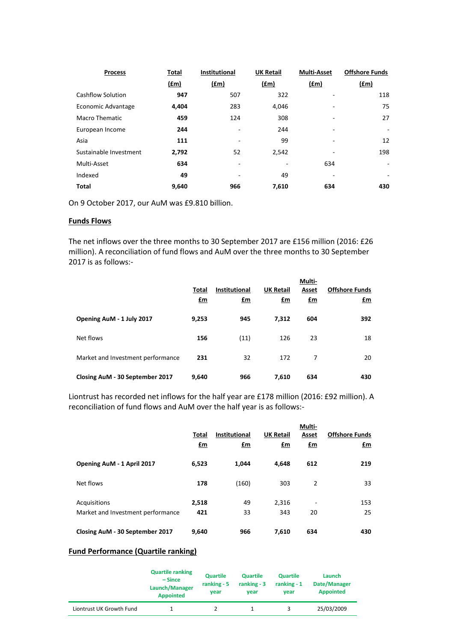| <b>Process</b>         | Total | <b>Institutional</b> | <b>UK Retail</b> | <b>Multi-Asset</b> | <b>Offshore Funds</b>    |
|------------------------|-------|----------------------|------------------|--------------------|--------------------------|
|                        | f(m)  | <u>(£m)</u>          | <u>(£m)</u>      | f(m)               | f(m)                     |
| Cashflow Solution      | 947   | 507                  | 322              |                    | 118                      |
| Economic Advantage     | 4,404 | 283                  | 4,046            |                    | 75                       |
| <b>Macro Thematic</b>  | 459   | 124                  | 308              |                    | 27                       |
| European Income        | 244   | ٠                    | 244              | ٠                  | $\overline{\phantom{0}}$ |
| Asia                   | 111   |                      | 99               |                    | 12                       |
| Sustainable Investment | 2,792 | 52                   | 2,542            |                    | 198                      |
| Multi-Asset            | 634   | ٠                    | ۰                | 634                | ٠                        |
| Indexed                | 49    | ٠                    | 49               | ۰                  | ۰                        |
| <b>Total</b>           | 9,640 | 966                  | 7,610            | 634                | 430                      |

On 9 October 2017, our AuM was £9.810 billion.

### **Funds Flows**

The net inflows over the three months to 30 September 2017 are £156 million (2016: £26 million). A reconciliation of fund flows and AuM over the three months to 30 September 2017 is as follows:-

|                                   | Total<br>£m | <b>Institutional</b><br>£m | <b>UK Retail</b><br><u>£m</u> | Multi-<br>Asset<br>$\mathbf{f}$ m | <b>Offshore Funds</b><br>£m |
|-----------------------------------|-------------|----------------------------|-------------------------------|-----------------------------------|-----------------------------|
| Opening AuM - 1 July 2017         | 9,253       | 945                        | 7,312                         | 604                               | 392                         |
| Net flows                         | 156         | (11)                       | 126                           | 23                                | 18                          |
| Market and Investment performance | 231         | 32                         | 172                           | 7                                 | 20                          |
| Closing AuM - 30 September 2017   | 9,640       | 966                        | 7,610                         | 634                               | 430                         |

Liontrust has recorded net inflows for the half year are £178 million (2016: £92 million). A reconciliation of fund flows and AuM over the half year is as follows:-

|                                                   | Total<br>£m  | <b>Institutional</b><br>£m | <b>UK Retail</b><br>£m | Multi-<br>Asset<br>£m | <b>Offshore Funds</b><br>£m |
|---------------------------------------------------|--------------|----------------------------|------------------------|-----------------------|-----------------------------|
| Opening AuM - 1 April 2017                        | 6,523        | 1,044                      | 4,648                  | 612                   | 219                         |
| Net flows                                         | 178          | (160)                      | 303                    | $\overline{2}$        | 33                          |
| Acquisitions<br>Market and Investment performance | 2,518<br>421 | 49<br>33                   | 2,316<br>343           | ۰<br>20               | 153<br>25                   |
| Closing AuM - 30 September 2017                   | 9,640        | 966                        | 7,610                  | 634                   | 430                         |

# **Fund Performance (Quartile ranking)**

|                          | <b>Quartile ranking</b><br>– Since<br>Launch/Manager<br><b>Appointed</b> | <b>Quartile</b><br>ranking $-5$<br>vear | <b>Quartile</b><br>ranking $-3$<br>vear | <b>Quartile</b><br>ranking $-1$<br>vear | Launch<br>Date/Manager<br><b>Appointed</b> |
|--------------------------|--------------------------------------------------------------------------|-----------------------------------------|-----------------------------------------|-----------------------------------------|--------------------------------------------|
| Liontrust UK Growth Fund |                                                                          |                                         |                                         |                                         | 25/03/2009                                 |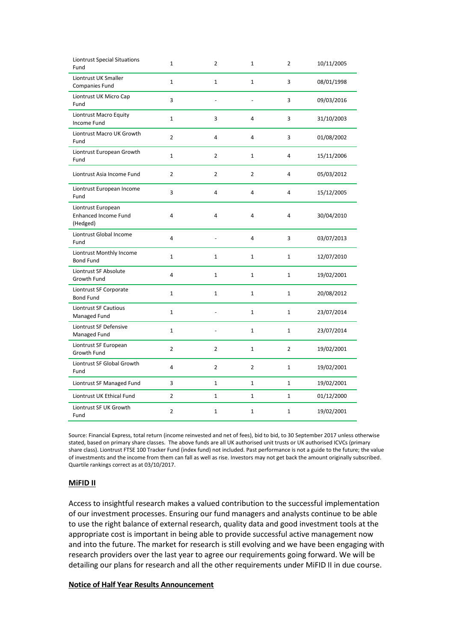| <b>Liontrust Special Situations</b><br>Fund                   | $\mathbf 1$    | $\overline{2}$ | $\mathbf 1$    | $\overline{2}$ | 10/11/2005 |
|---------------------------------------------------------------|----------------|----------------|----------------|----------------|------------|
| Liontrust UK Smaller<br>Companies Fund                        | $\mathbf{1}$   | $\mathbf{1}$   | $\mathbf{1}$   | 3              | 08/01/1998 |
| Liontrust UK Micro Cap<br>Fund                                | 3              | L.             |                | 3              | 09/03/2016 |
| <b>Liontrust Macro Equity</b><br>Income Fund                  | $\mathbf{1}$   | 3              | 4              | 3              | 31/10/2003 |
| Liontrust Macro UK Growth<br>Fund                             | $\overline{2}$ | 4              | 4              | 3              | 01/08/2002 |
| Liontrust European Growth<br>Fund                             | $\mathbf{1}$   | $\overline{2}$ | $\mathbf{1}$   | 4              | 15/11/2006 |
| Liontrust Asia Income Fund                                    | 2              | 2              | $\overline{2}$ | 4              | 05/03/2012 |
| Liontrust European Income<br>Fund                             | 3              | 4              | 4              | 4              | 15/12/2005 |
| Liontrust European<br><b>Enhanced Income Fund</b><br>(Hedged) | 4              | 4              | 4              | 4              | 30/04/2010 |
| Liontrust Global Income<br>Fund                               | 4              |                | $\overline{4}$ | 3              | 03/07/2013 |
| Liontrust Monthly Income<br><b>Bond Fund</b>                  | $\mathbf 1$    | 1              | $\mathbf{1}$   | 1              | 12/07/2010 |
| Liontrust SF Absolute<br>Growth Fund                          | 4              | $\mathbf{1}$   | $\mathbf{1}$   | $\mathbf{1}$   | 19/02/2001 |
| Liontrust SF Corporate<br><b>Bond Fund</b>                    | $\mathbf{1}$   | $\mathbf{1}$   | $\mathbf{1}$   | $\mathbf{1}$   | 20/08/2012 |
| Liontrust SF Cautious<br>Managed Fund                         | $\mathbf 1$    | L.             | $\mathbf{1}$   | $\mathbf{1}$   | 23/07/2014 |
| Liontrust SF Defensive<br>Managed Fund                        | $\mathbf{1}$   |                | $\mathbf 1$    | $\mathbf 1$    | 23/07/2014 |
| Liontrust SF European<br>Growth Fund                          | $\overline{2}$ | $\overline{2}$ | $\mathbf{1}$   | $\overline{2}$ | 19/02/2001 |
| Liontrust SF Global Growth<br>Fund                            | 4              | $\overline{2}$ | $\overline{2}$ | $\mathbf{1}$   | 19/02/2001 |
| Liontrust SF Managed Fund                                     | 3              | $\mathbf{1}$   | $\mathbf{1}$   | $\mathbf{1}$   | 19/02/2001 |
| Liontrust UK Ethical Fund                                     | $\overline{2}$ | $\mathbf{1}$   | $\mathbf{1}$   | $\mathbf{1}$   | 01/12/2000 |
| Liontrust SF UK Growth<br>Fund                                | $\overline{2}$ | $\mathbf{1}$   | $\mathbf{1}$   | 1              | 19/02/2001 |

Source: Financial Express, total return (income reinvested and net of fees), bid to bid, to 30 September 2017 unless otherwise stated, based on primary share classes. The above funds are all UK authorised unit trusts or UK authorised ICVCs (primary share class). Liontrust FTSE 100 Tracker Fund (index fund) not included. Past performance is not a guide to the future; the value of investments and the income from them can fall as well as rise. Investors may not get back the amount originally subscribed. Quartile rankings correct as at 03/10/2017.

#### **MiFID II**

Access to insightful research makes a valued contribution to the successful implementation of our investment processes. Ensuring our fund managers and analysts continue to be able to use the right balance of external research, quality data and good investment tools at the appropriate cost is important in being able to provide successful active management now and into the future. The market for research is still evolving and we have been engaging with research providers over the last year to agree our requirements going forward. We will be detailing our plans for research and all the other requirements under MiFID II in due course.

## **Notice of Half Year Results Announcement**